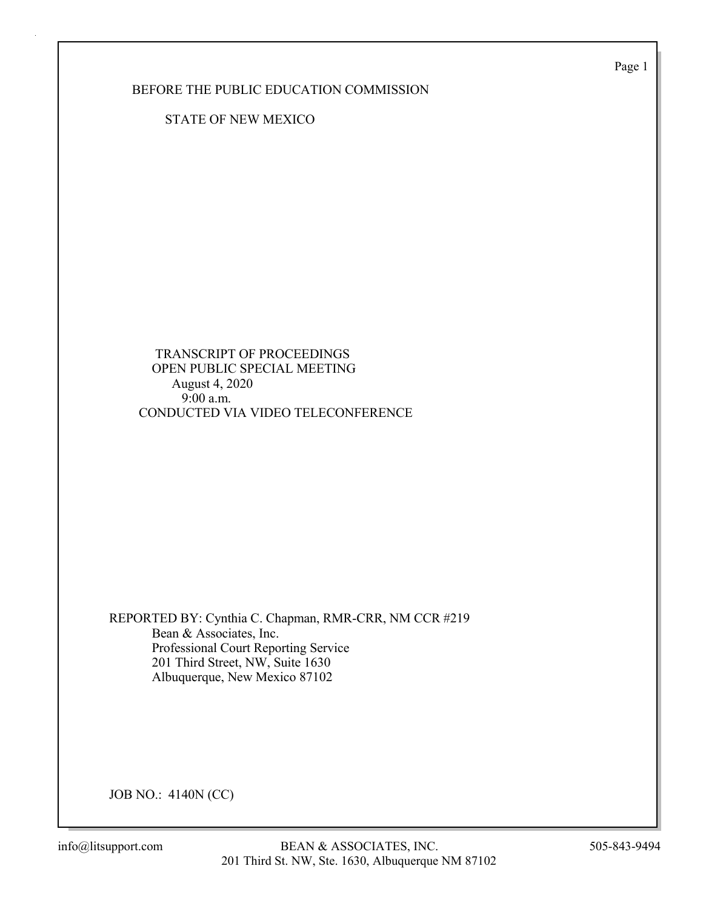Page 1

BEFORE THE PUBLIC EDUCATION COMMISSION

STATE OF NEW MEXICO

 TRANSCRIPT OF PROCEEDINGS OPEN PUBLIC SPECIAL MEETING August 4, 2020 9:00 a.m. CONDUCTED VIA VIDEO TELECONFERENCE

REPORTED BY: Cynthia C. Chapman, RMR-CRR, NM CCR #219 Bean & Associates, Inc. Professional Court Reporting Service 201 Third Street, NW, Suite 1630 Albuquerque, New Mexico 87102

JOB NO.: 4140N (CC)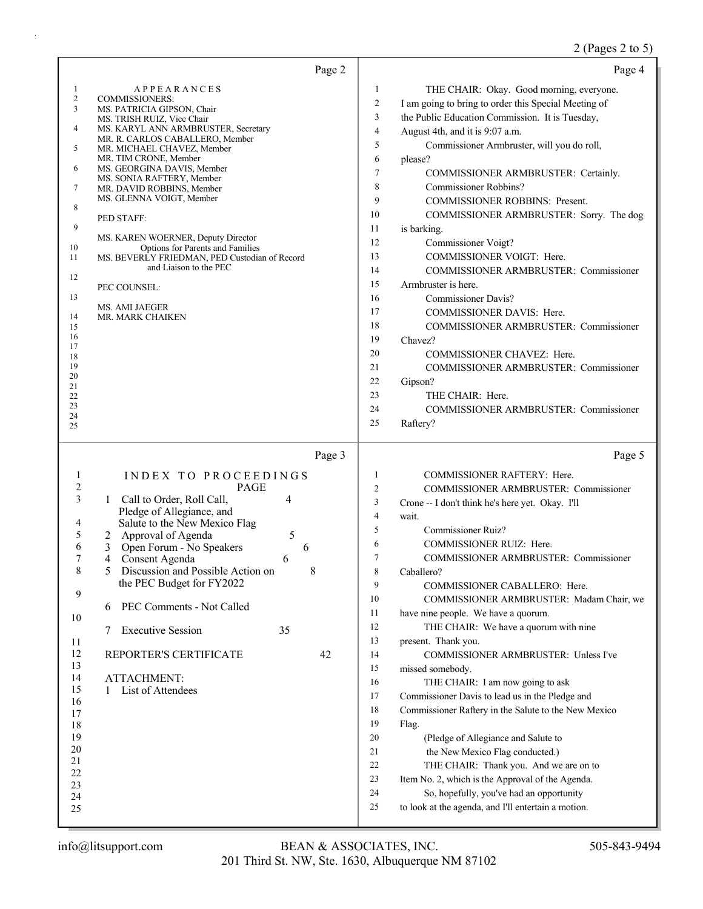# 2 (Pages 2 to 5)

| Page 2                                                                                                                                                                                                                                                                                                                                                                                                                                                                                                                                                                                                                                                                                                                                      | Page 4                                                                                                                                                                                                                                                                                                                                                                                                                                                                                                                                                                                                                                                                                                                                                                                                                                                                                                                                                                                                                                                                                      |
|---------------------------------------------------------------------------------------------------------------------------------------------------------------------------------------------------------------------------------------------------------------------------------------------------------------------------------------------------------------------------------------------------------------------------------------------------------------------------------------------------------------------------------------------------------------------------------------------------------------------------------------------------------------------------------------------------------------------------------------------|---------------------------------------------------------------------------------------------------------------------------------------------------------------------------------------------------------------------------------------------------------------------------------------------------------------------------------------------------------------------------------------------------------------------------------------------------------------------------------------------------------------------------------------------------------------------------------------------------------------------------------------------------------------------------------------------------------------------------------------------------------------------------------------------------------------------------------------------------------------------------------------------------------------------------------------------------------------------------------------------------------------------------------------------------------------------------------------------|
| 1<br><b>APPEARANCES</b><br>$\sqrt{2}$<br><b>COMMISSIONERS:</b><br>3<br>MS. PATRICIA GIPSON, Chair<br>MS. TRISH RUIZ, Vice Chair<br>4<br>MS. KARYL ANN ARMBRUSTER, Secretary<br>MR. R. CARLOS CABALLERO, Member<br>5<br>MR. MICHAEL CHAVEZ, Member<br>MR. TIM CRONE, Member<br>6<br>MS. GEORGINA DAVIS, Member<br>MS. SONIA RAFTERY, Member<br>7<br>MR. DAVID ROBBINS, Member<br>MS. GLENNA VOIGT, Member<br>8<br>PED STAFF:<br>9<br>MS. KAREN WOERNER, Deputy Director<br>Options for Parents and Families<br>10<br>11<br>MS. BEVERLY FRIEDMAN, PED Custodian of Record<br>and Liaison to the PEC<br>12<br>PEC COUNSEL:<br>13<br>MS. AMI JAEGER<br>14<br>MR. MARK CHAIKEN<br>15<br>16<br>17<br>18<br>19<br>20<br>21<br>22<br>23<br>24<br>25 | 1<br>THE CHAIR: Okay. Good morning, everyone.<br>2<br>I am going to bring to order this Special Meeting of<br>3<br>the Public Education Commission. It is Tuesday,<br>$\overline{4}$<br>August 4th, and it is 9:07 a.m.<br>5<br>Commissioner Armbruster, will you do roll,<br>6<br>please?<br>7<br>COMMISSIONER ARMBRUSTER: Certainly.<br>8<br>Commissioner Robbins?<br>9<br><b>COMMISSIONER ROBBINS: Present.</b><br>10<br>COMMISSIONER ARMBRUSTER: Sorry. The dog<br>11<br>is barking.<br>12<br>Commissioner Voigt?<br>COMMISSIONER VOIGT: Here.<br>13<br>14<br>COMMISSIONER ARMBRUSTER: Commissioner<br>15<br>Armbruster is here.<br>16<br><b>Commissioner Davis?</b><br>17<br>COMMISSIONER DAVIS: Here.<br>18<br>COMMISSIONER ARMBRUSTER: Commissioner<br>19<br>Chavez?<br>20<br>COMMISSIONER CHAVEZ: Here.<br>21<br>COMMISSIONER ARMBRUSTER: Commissioner<br>22<br>Gipson?<br>23<br>THE CHAIR: Here.<br>24<br><b>COMMISSIONER ARMBRUSTER: Commissioner</b><br>25<br>Raftery?                                                                                                           |
| Page 3<br>INDEX TO PROCEEDINGS<br>1<br>$\overline{c}$<br><b>PAGE</b><br>3<br>Call to Order, Roll Call,<br>4<br>1<br>Pledge of Allegiance, and<br>Salute to the New Mexico Flag<br>4<br>5<br>5<br>Approval of Agenda<br>2<br>6<br>Open Forum - No Speakers<br>3<br>6<br>Consent Agenda<br>4<br>6<br>8<br>5<br>8<br>Discussion and Possible Action on<br>the PEC Budget for FY2022<br>9<br>PEC Comments - Not Called<br>6<br>10<br><b>Executive Session</b><br>35<br>7<br>11<br>12<br>REPORTER'S CERTIFICATE<br>42<br>13<br>14<br><b>ATTACHMENT:</b><br>15<br>List of Attendees<br>1<br>16<br>17<br>18<br>19<br>20<br>21<br>22<br>23<br>24<br>25                                                                                              | Page 5<br>1<br>COMMISSIONER RAFTERY: Here.<br>2<br>COMMISSIONER ARMBRUSTER: Commissioner<br>3<br>Crone -- I don't think he's here yet. Okay. I'll<br>4<br>wait.<br>5<br><b>Commissioner Ruiz?</b><br>6<br>COMMISSIONER RUIZ: Here.<br>7<br>COMMISSIONER ARMBRUSTER: Commissioner<br>8<br>Caballero?<br>9<br>COMMISSIONER CABALLERO: Here.<br>10<br>COMMISSIONER ARMBRUSTER: Madam Chair, we<br>11<br>have nine people. We have a quorum.<br>THE CHAIR: We have a quorum with nine<br>12<br>13<br>present. Thank you.<br>COMMISSIONER ARMBRUSTER: Unless I've<br>14<br>15<br>missed somebody.<br>16<br>THE CHAIR: I am now going to ask<br>17<br>Commissioner Davis to lead us in the Pledge and<br>18<br>Commissioner Raftery in the Salute to the New Mexico<br>19<br>Flag.<br>20<br>(Pledge of Allegiance and Salute to<br>21<br>the New Mexico Flag conducted.)<br>22<br>THE CHAIR: Thank you. And we are on to<br>23<br>Item No. 2, which is the Approval of the Agenda.<br>24<br>So, hopefully, you've had an opportunity<br>to look at the agenda, and I'll entertain a motion.<br>25 |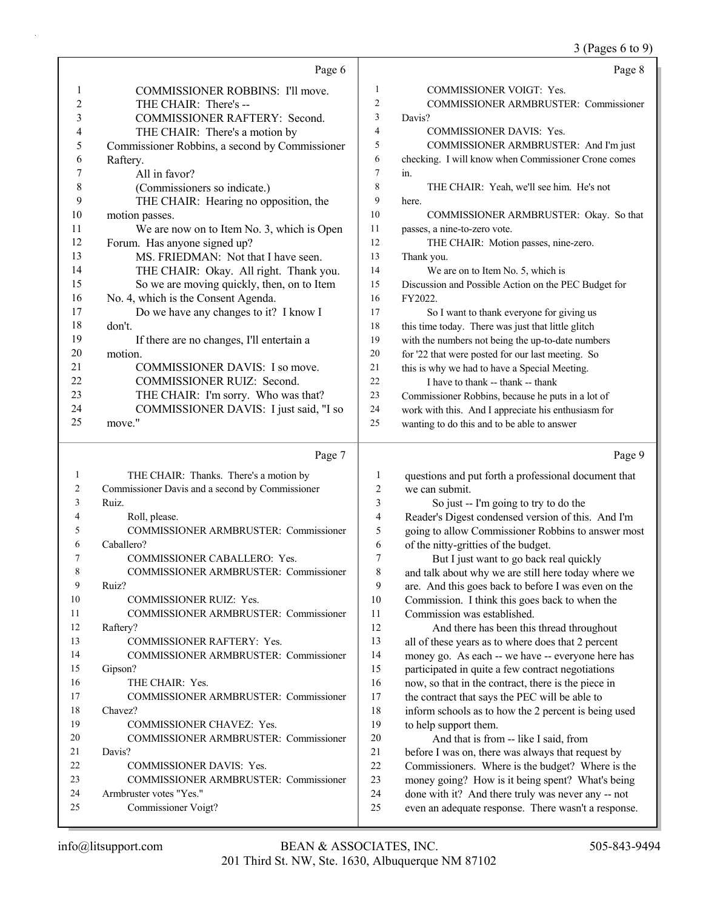3 (Pages 6 to 9)

|          | Page 6                                                            |                     | Page 8                                                                                                    |
|----------|-------------------------------------------------------------------|---------------------|-----------------------------------------------------------------------------------------------------------|
| 1        | COMMISSIONER ROBBINS: I'll move.                                  | 1                   | <b>COMMISSIONER VOIGT: Yes.</b>                                                                           |
| 2        | THE CHAIR: There's --                                             | 2                   | COMMISSIONER ARMBRUSTER: Commissioner                                                                     |
| 3        | COMMISSIONER RAFTERY: Second.                                     | 3                   | Davis?                                                                                                    |
| 4        | THE CHAIR: There's a motion by                                    | 4                   | COMMISSIONER DAVIS: Yes.                                                                                  |
| 5        | Commissioner Robbins, a second by Commissioner                    | 5                   | COMMISSIONER ARMBRUSTER: And I'm just                                                                     |
| 6        | Raftery.                                                          | 6                   | checking. I will know when Commissioner Crone comes                                                       |
| 7        | All in favor?                                                     | 7                   | in.                                                                                                       |
| 8        | (Commissioners so indicate.)                                      | 8                   | THE CHAIR: Yeah, we'll see him. He's not                                                                  |
| 9        | THE CHAIR: Hearing no opposition, the                             | 9                   | here.                                                                                                     |
| 10       | motion passes.                                                    | 10                  | COMMISSIONER ARMBRUSTER: Okay. So that                                                                    |
| 11       | We are now on to Item No. 3, which is Open                        | 11                  | passes, a nine-to-zero vote.                                                                              |
| 12       | Forum. Has anyone signed up?                                      | 12                  | THE CHAIR: Motion passes, nine-zero.                                                                      |
| 13       | MS. FRIEDMAN: Not that I have seen.                               | 13                  | Thank you.                                                                                                |
| 14       | THE CHAIR: Okay. All right. Thank you.                            | 14                  | We are on to Item No. 5, which is                                                                         |
| 15       | So we are moving quickly, then, on to Item                        | 15                  | Discussion and Possible Action on the PEC Budget for                                                      |
| 16       | No. 4, which is the Consent Agenda.                               | 16                  | FY2022.                                                                                                   |
| 17       | Do we have any changes to it? I know I                            | 17                  | So I want to thank everyone for giving us                                                                 |
| 18       | don't.                                                            | 18                  | this time today. There was just that little glitch                                                        |
| 19       | If there are no changes, I'll entertain a                         | 19                  | with the numbers not being the up-to-date numbers                                                         |
| 20       | motion.                                                           | 20                  | for '22 that were posted for our last meeting. So                                                         |
| 21<br>22 | COMMISSIONER DAVIS: I so move.                                    | 21                  | this is why we had to have a Special Meeting.                                                             |
| 23       | COMMISSIONER RUIZ: Second.<br>THE CHAIR: I'm sorry. Who was that? | 22<br>23            | I have to thank -- thank -- thank                                                                         |
| 24       | COMMISSIONER DAVIS: I just said, "I so                            | 24                  | Commissioner Robbins, because he puts in a lot of                                                         |
| 25       | move."                                                            | 25                  | work with this. And I appreciate his enthusiasm for<br>wanting to do this and to be able to answer        |
|          |                                                                   |                     |                                                                                                           |
|          |                                                                   |                     |                                                                                                           |
|          | Page 7                                                            |                     | Page 9                                                                                                    |
| 1        |                                                                   |                     |                                                                                                           |
| 2        | THE CHAIR: Thanks. There's a motion by                            | 1<br>$\overline{c}$ | questions and put forth a professional document that<br>we can submit.                                    |
| 3        | Commissioner Davis and a second by Commissioner<br>Ruiz.          | 3                   |                                                                                                           |
| 4        | Roll, please.                                                     | 4                   | So just -- I'm going to try to do the                                                                     |
| 5        | COMMISSIONER ARMBRUSTER: Commissioner                             | 5                   | Reader's Digest condensed version of this. And I'm                                                        |
| 6        | Caballero?                                                        | 6                   | going to allow Commissioner Robbins to answer most<br>of the nitty-gritties of the budget.                |
| 7        | COMMISSIONER CABALLERO: Yes.                                      | 7                   | But I just want to go back real quickly                                                                   |
| 8        | COMMISSIONER ARMBRUSTER: Commissioner                             | 8                   | and talk about why we are still here today where we                                                       |
| 9        | Ruiz?                                                             | 9                   | are. And this goes back to before I was even on the                                                       |
| 10       | COMMISSIONER RUIZ: Yes.                                           | 10                  | Commission. I think this goes back to when the                                                            |
| 11       | COMMISSIONER ARMBRUSTER: Commissioner                             | 11                  | Commission was established.                                                                               |
| 12       | Raftery?                                                          | 12                  | And there has been this thread throughout                                                                 |
| 13       | COMMISSIONER RAFTERY: Yes.                                        | 13                  | all of these years as to where does that 2 percent                                                        |
| 14       | COMMISSIONER ARMBRUSTER: Commissioner                             | 14                  | money go. As each -- we have -- everyone here has                                                         |
| 15       | Gipson?                                                           | 15                  | participated in quite a few contract negotiations                                                         |
| 16       | THE CHAIR: Yes.                                                   | 16                  | now, so that in the contract, there is the piece in                                                       |
| 17       | COMMISSIONER ARMBRUSTER: Commissioner                             | 17                  | the contract that says the PEC will be able to                                                            |
| 18       | Chavez?                                                           | 18                  | inform schools as to how the 2 percent is being used                                                      |
| 19       | COMMISSIONER CHAVEZ: Yes.                                         | 19                  | to help support them.                                                                                     |
| 20       | COMMISSIONER ARMBRUSTER: Commissioner                             | 20                  | And that is from -- like I said, from                                                                     |
| 21       | Davis?                                                            | 21                  | before I was on, there was always that request by                                                         |
| 22       | COMMISSIONER DAVIS: Yes.                                          | 22                  | Commissioners. Where is the budget? Where is the                                                          |
| 23       | COMMISSIONER ARMBRUSTER: Commissioner                             | 23                  | money going? How is it being spent? What's being                                                          |
| 24<br>25 | Armbruster votes "Yes."<br>Commissioner Voigt?                    | 24<br>25            | done with it? And there truly was never any -- not<br>even an adequate response. There wasn't a response. |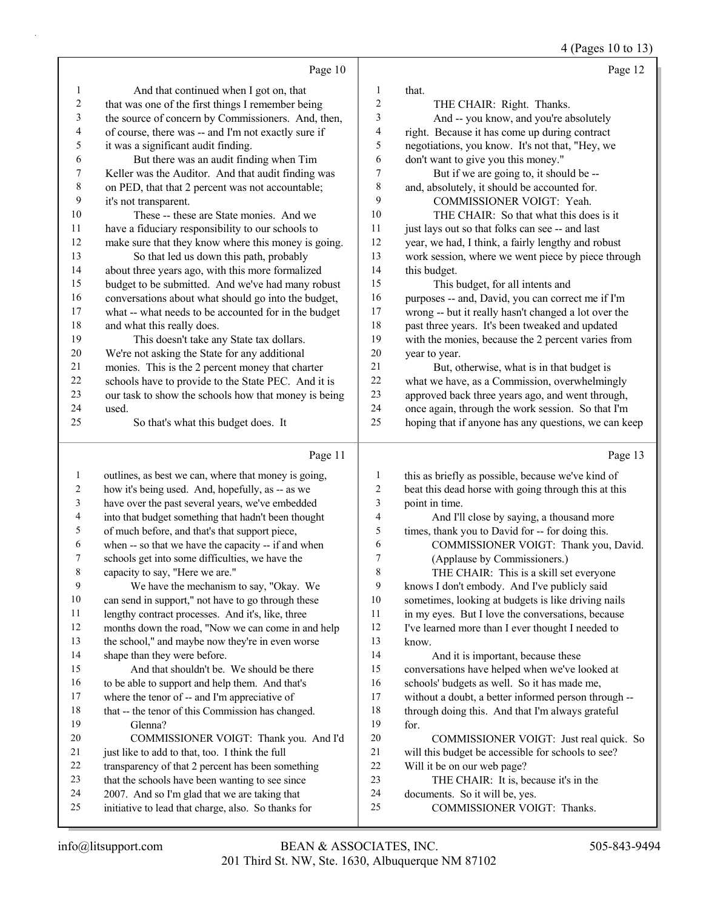4 (Pages 10 to 13)

|                          | Page 10                                                                                              |                    | Page 12                                                                                                   |
|--------------------------|------------------------------------------------------------------------------------------------------|--------------------|-----------------------------------------------------------------------------------------------------------|
| 1                        | And that continued when I got on, that                                                               | 1                  | that.                                                                                                     |
| $\overline{c}$           | that was one of the first things I remember being                                                    | $\overline{c}$     | THE CHAIR: Right. Thanks.                                                                                 |
| 3                        | the source of concern by Commissioners. And, then,                                                   | 3                  | And -- you know, and you're absolutely                                                                    |
| $\overline{\mathcal{A}}$ | of course, there was -- and I'm not exactly sure if                                                  | 4                  | right. Because it has come up during contract                                                             |
| 5                        | it was a significant audit finding.                                                                  | 5                  | negotiations, you know. It's not that, "Hey, we                                                           |
| 6                        | But there was an audit finding when Tim                                                              | 6                  | don't want to give you this money."                                                                       |
| $\overline{7}$           | Keller was the Auditor. And that audit finding was                                                   | 7                  | But if we are going to, it should be --                                                                   |
| $\,8\,$                  | on PED, that that 2 percent was not accountable;                                                     | 8                  | and, absolutely, it should be accounted for.                                                              |
| 9                        | it's not transparent.                                                                                | 9                  | COMMISSIONER VOIGT: Yeah.                                                                                 |
| 10                       | These -- these are State monies. And we                                                              | 10                 | THE CHAIR: So that what this does is it                                                                   |
| 11                       | have a fiduciary responsibility to our schools to                                                    | 11                 | just lays out so that folks can see -- and last                                                           |
| 12                       | make sure that they know where this money is going.                                                  | 12                 | year, we had, I think, a fairly lengthy and robust                                                        |
| 13                       | So that led us down this path, probably                                                              | 13                 | work session, where we went piece by piece through                                                        |
| 14                       | about three years ago, with this more formalized                                                     | 14                 | this budget.                                                                                              |
| 15                       | budget to be submitted. And we've had many robust                                                    | 15                 | This budget, for all intents and                                                                          |
| 16                       | conversations about what should go into the budget,                                                  | 16                 | purposes -- and, David, you can correct me if I'm                                                         |
| $17$                     | what -- what needs to be accounted for in the budget                                                 | 17                 | wrong -- but it really hasn't changed a lot over the                                                      |
| $18\,$                   | and what this really does.                                                                           | 18                 | past three years. It's been tweaked and updated                                                           |
| 19                       | This doesn't take any State tax dollars.                                                             | 19                 | with the monies, because the 2 percent varies from                                                        |
| $20\,$                   | We're not asking the State for any additional                                                        | $20\,$             | year to year.                                                                                             |
| 21                       | monies. This is the 2 percent money that charter                                                     | 21                 | But, otherwise, what is in that budget is                                                                 |
| $22\,$<br>23             | schools have to provide to the State PEC. And it is                                                  | $22\,$             | what we have, as a Commission, overwhelmingly                                                             |
| 24                       | our task to show the schools how that money is being<br>used.                                        | $23\,$<br>24       | approved back three years ago, and went through,                                                          |
| 25                       | So that's what this budget does. It                                                                  | 25                 | once again, through the work session. So that I'm<br>hoping that if anyone has any questions, we can keep |
|                          |                                                                                                      |                    |                                                                                                           |
|                          |                                                                                                      |                    |                                                                                                           |
|                          | Page 11                                                                                              |                    | Page 13                                                                                                   |
| 1                        | outlines, as best we can, where that money is going,                                                 | 1                  | this as briefly as possible, because we've kind of                                                        |
| 2                        | how it's being used. And, hopefully, as -- as we                                                     | $\overline{c}$     | beat this dead horse with going through this at this                                                      |
| 3                        | have over the past several years, we've embedded                                                     | 3                  | point in time.                                                                                            |
| 4                        | into that budget something that hadn't been thought                                                  | 4                  | And I'll close by saying, a thousand more                                                                 |
| 5                        | of much before, and that's that support piece,                                                       | 5                  | times, thank you to David for -- for doing this.                                                          |
| 6                        | when -- so that we have the capacity -- if and when                                                  | 6                  | COMMISSIONER VOIGT: Thank you, David.                                                                     |
| 7                        | schools get into some difficulties, we have the                                                      | $\boldsymbol{7}$   | (Applause by Commissioners.)                                                                              |
| $\,$ $\,$                | capacity to say, "Here we are."                                                                      | $\circ$<br>$\circ$ | THE CHAIR: This is a skill set everyone                                                                   |
| 9                        | We have the mechanism to say, "Okay. We                                                              | 9                  | knows I don't embody. And I've publicly said                                                              |
| $10\,$                   | can send in support," not have to go through these                                                   | 10                 | sometimes, looking at budgets is like driving nails                                                       |
| 11                       | lengthy contract processes. And it's, like, three                                                    | 11                 | in my eyes. But I love the conversations, because                                                         |
| 12                       | months down the road, "Now we can come in and help                                                   | 12                 | I've learned more than I ever thought I needed to                                                         |
| 13<br>14                 | the school," and maybe now they're in even worse                                                     | 13<br>14           | know.                                                                                                     |
| 15                       | shape than they were before.                                                                         | 15                 | And it is important, because these                                                                        |
| 16                       | And that shouldn't be. We should be there<br>to be able to support and help them. And that's         | 16                 | conversations have helped when we've looked at<br>schools' budgets as well. So it has made me,            |
| 17                       | where the tenor of -- and I'm appreciative of                                                        | 17                 | without a doubt, a better informed person through --                                                      |
| 18                       | that -- the tenor of this Commission has changed.                                                    | 18                 | through doing this. And that I'm always grateful                                                          |
| 19                       | Glenna?                                                                                              | 19                 | for.                                                                                                      |
| 20                       | COMMISSIONER VOIGT: Thank you. And I'd                                                               | $20\,$             | COMMISSIONER VOIGT: Just real quick. So                                                                   |
| 21                       | just like to add to that, too. I think the full                                                      | 21                 | will this budget be accessible for schools to see?                                                        |
| 22                       | transparency of that 2 percent has been something                                                    | $22\,$             | Will it be on our web page?                                                                               |
| 23                       | that the schools have been wanting to see since                                                      | 23                 | THE CHAIR: It is, because it's in the                                                                     |
| 24<br>25                 | 2007. And so I'm glad that we are taking that<br>initiative to lead that charge, also. So thanks for | 24<br>25           | documents. So it will be, yes.<br>COMMISSIONER VOIGT: Thanks.                                             |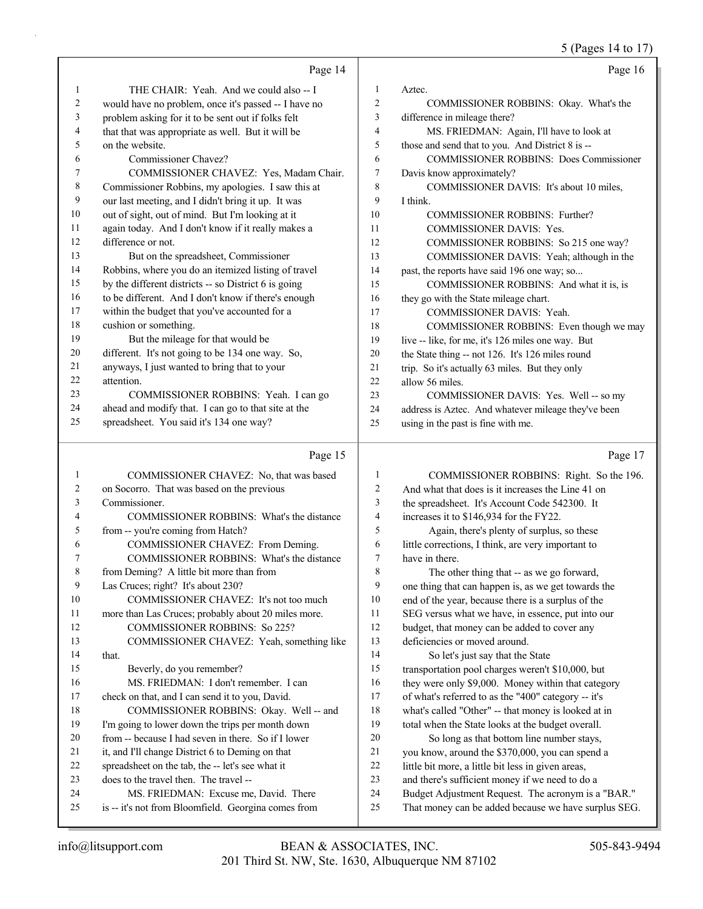|        |                                                      |                | 5 (Pages 14 to 17)                                   |
|--------|------------------------------------------------------|----------------|------------------------------------------------------|
|        | Page 14                                              |                | Page 16                                              |
| 1      | THE CHAIR: Yeah. And we could also -- I              | 1              | Aztec.                                               |
| 2      | would have no problem, once it's passed -- I have no | 2              | COMMISSIONER ROBBINS: Okay. What's the               |
| 3      | problem asking for it to be sent out if folks felt   | 3              | difference in mileage there?                         |
| 4      | that that was appropriate as well. But it will be    | 4              | MS. FRIEDMAN: Again, I'll have to look at            |
| 5      | on the website.                                      | 5              | those and send that to you. And District 8 is --     |
| 6      | Commissioner Chavez?                                 | 6              | <b>COMMISSIONER ROBBINS: Does Commissioner</b>       |
| 7      | COMMISSIONER CHAVEZ: Yes, Madam Chair.               | 7              | Davis know approximately?                            |
| 8      | Commissioner Robbins, my apologies. I saw this at    | 8              | COMMISSIONER DAVIS: It's about 10 miles,             |
| 9      | our last meeting, and I didn't bring it up. It was   | 9              | I think.                                             |
| 10     | out of sight, out of mind. But I'm looking at it     | 10             | COMMISSIONER ROBBINS: Further?                       |
| 11     | again today. And I don't know if it really makes a   | 11             | <b>COMMISSIONER DAVIS: Yes.</b>                      |
| 12     | difference or not.                                   | 12             | COMMISSIONER ROBBINS: So 215 one way?                |
| 13     | But on the spreadsheet, Commissioner                 | 13             | COMMISSIONER DAVIS: Yeah; although in the            |
| 14     | Robbins, where you do an itemized listing of travel  | 14             | past, the reports have said 196 one way; so          |
| 15     | by the different districts -- so District 6 is going | 15             | COMMISSIONER ROBBINS: And what it is, is             |
| 16     | to be different. And I don't know if there's enough  | 16             | they go with the State mileage chart.                |
| 17     | within the budget that you've accounted for a        | 17             | COMMISSIONER DAVIS: Yeah.                            |
| 18     | cushion or something.                                | 18             | COMMISSIONER ROBBINS: Even though we may             |
| 19     | But the mileage for that would be                    | 19             | live -- like, for me, it's 126 miles one way. But    |
| 20     | different. It's not going to be 134 one way. So,     | 20             | the State thing -- not 126. It's 126 miles round     |
| 21     | anyways, I just wanted to bring that to your         | 21             | trip. So it's actually 63 miles. But they only       |
| 22     | attention.                                           | 22             | allow 56 miles.                                      |
| 23     | COMMISSIONER ROBBINS: Yeah. I can go                 | 23             | COMMISSIONER DAVIS: Yes. Well -- so my               |
| 24     | ahead and modify that. I can go to that site at the  | 24             | address is Aztec. And whatever mileage they've been  |
| 25     | spreadsheet. You said it's 134 one way?              | 25             | using in the past is fine with me.                   |
|        |                                                      |                |                                                      |
|        | Page 15                                              |                | Page 17                                              |
| 1      | COMMISSIONER CHAVEZ: No, that was based              | 1              | COMMISSIONER ROBBINS: Right. So the 196.             |
| 2      | on Socorro. That was based on the previous           | 2              | And what that does is it increases the Line 41 on    |
| 3      | Commissioner.                                        | 3              | the spreadsheet. It's Account Code 542300. It        |
| 4      | COMMISSIONER ROBBINS: What's the distance            | $\overline{4}$ | increases it to \$146,934 for the FY22.              |
| 5      | from -- you're coming from Hatch?                    | 5              | Again, there's plenty of surplus, so these           |
| 6      | COMMISSIONER CHAVEZ: From Deming.                    | 6              | little corrections, I think, are very important to   |
| 7      | COMMISSIONER ROBBINS: What's the distance            | 7              | have in there.                                       |
| 8      | from Deming? A little bit more than from             | $\,$ $\,$      | The other thing that -- as we go forward,            |
| 9      | Las Cruces; right? It's about 230?                   | 9              | one thing that can happen is, as we get towards the  |
| 10     | COMMISSIONER CHAVEZ: It's not too much               | 10             | end of the year, because there is a surplus of the   |
| 11     | more than Las Cruces; probably about 20 miles more.  | 11             | SEG versus what we have, in essence, put into our    |
| 12     | <b>COMMISSIONER ROBBINS: So 225?</b>                 | 12             | budget, that money can be added to cover any         |
| 13     | COMMISSIONER CHAVEZ: Yeah, something like            | 13             | deficiencies or moved around.                        |
| 14     | that.                                                | 14             | So let's just say that the State                     |
| 15     | Beverly, do you remember?                            | 15             | transportation pool charges weren't \$10,000, but    |
| 16     | MS. FRIEDMAN: I don't remember. I can                | 16             | they were only \$9,000. Money within that category   |
| 17     | check on that, and I can send it to you, David.      | 17             | of what's referred to as the "400" category -- it's  |
| $18\,$ | COMMISSIONER ROBBINS: Okay. Well -- and              | $18\,$         | what's called "Other" -- that money is looked at in  |
| 19     | I'm going to lower down the trips per month down     | 19             | total when the State looks at the budget overall.    |
| 20     | from -- because I had seven in there. So if I lower  | 20             | So long as that bottom line number stays,            |
| 21     | it, and I'll change District 6 to Deming on that     | 21             | you know, around the \$370,000, you can spend a      |
| 22     | spreadsheet on the tab, the -- let's see what it     | 22             | little bit more, a little bit less in given areas,   |
| 23     | does to the travel then. The travel --               | 23             | and there's sufficient money if we need to do a      |
| 24     | MS. FRIEDMAN: Excuse me, David. There                | 24             | Budget Adjustment Request. The acronym is a "BAR."   |
| 25     | is -- it's not from Bloomfield. Georgina comes from  | 25             | That money can be added because we have surplus SEG. |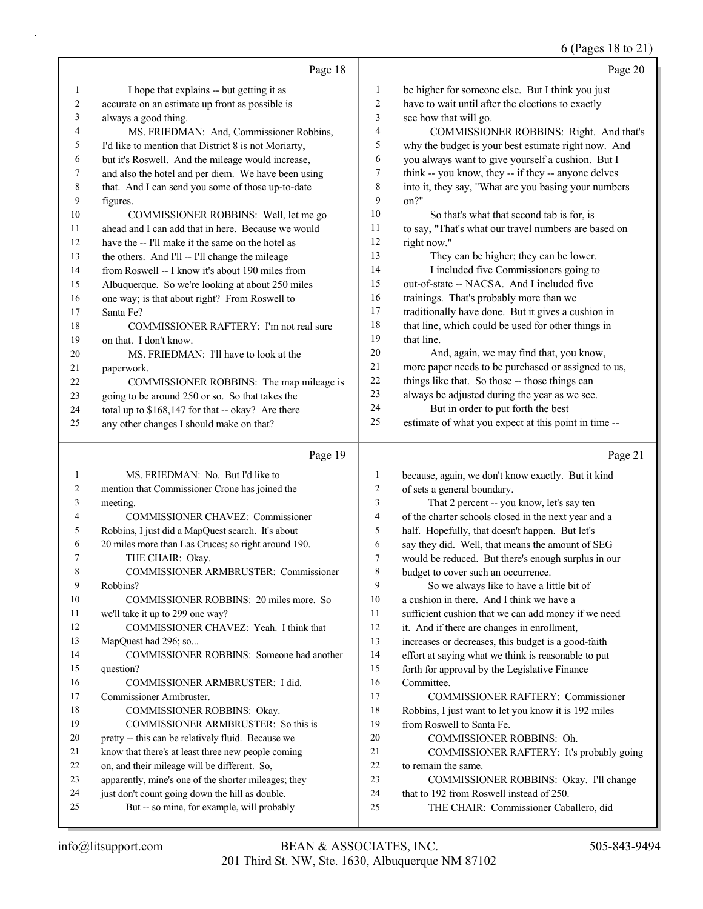### (Pages 18 to 21)

|                          |                                                      |                | 0 (Pages 18 to $21$ )                                |
|--------------------------|------------------------------------------------------|----------------|------------------------------------------------------|
|                          | Page 18                                              |                | Page 20                                              |
| 1                        | I hope that explains -- but getting it as            | 1              | be higher for someone else. But I think you just     |
| $\overline{c}$           | accurate on an estimate up front as possible is      | $\overline{c}$ | have to wait until after the elections to exactly    |
| 3                        | always a good thing.                                 | 3              | see how that will go.                                |
| 4                        | MS. FRIEDMAN: And, Commissioner Robbins,             | $\overline{4}$ | COMMISSIONER ROBBINS: Right. And that's              |
| 5                        | I'd like to mention that District 8 is not Moriarty, | 5              | why the budget is your best estimate right now. And  |
| 6                        | but it's Roswell. And the mileage would increase,    | 6              | you always want to give yourself a cushion. But I    |
| $\tau$                   | and also the hotel and per diem. We have been using  | 7              | think -- you know, they -- if they -- anyone delves  |
| $\,8\,$                  | that. And I can send you some of those up-to-date    | $\,8\,$        | into it, they say, "What are you basing your numbers |
| 9                        | figures.                                             | 9              | on?"                                                 |
| 10                       | COMMISSIONER ROBBINS: Well, let me go                | 10             | So that's what that second tab is for, is            |
| 11                       | ahead and I can add that in here. Because we would   | 11             | to say, "That's what our travel numbers are based on |
| 12                       | have the -- I'll make it the same on the hotel as    | 12             | right now."                                          |
| 13                       | the others. And I'll -- I'll change the mileage      | 13             | They can be higher; they can be lower.               |
| 14                       | from Roswell -- I know it's about 190 miles from     | 14             | I included five Commissioners going to               |
| 15                       | Albuquerque. So we're looking at about 250 miles     | 15             | out-of-state -- NACSA. And I included five           |
| 16                       | one way; is that about right? From Roswell to        | 16             | trainings. That's probably more than we              |
| 17                       | Santa Fe?                                            | 17             | traditionally have done. But it gives a cushion in   |
| 18                       | COMMISSIONER RAFTERY: I'm not real sure              | 18             | that line, which could be used for other things in   |
| 19                       | on that. I don't know.                               | 19             | that line.                                           |
| 20                       | MS. FRIEDMAN: I'll have to look at the               | 20             | And, again, we may find that, you know,              |
| 21                       | paperwork.                                           | $21\,$         | more paper needs to be purchased or assigned to us,  |
| 22                       | COMMISSIONER ROBBINS: The map mileage is             | 22             | things like that. So those -- those things can       |
| 23                       | going to be around 250 or so. So that takes the      | 23             | always be adjusted during the year as we see.        |
| 24                       | total up to \$168,147 for that -- okay? Are there    | 24             | But in order to put forth the best                   |
| 25                       | any other changes I should make on that?             | 25             | estimate of what you expect at this point in time -- |
|                          | Page 19                                              |                | Page 21                                              |
| $\mathbf{1}$             | MS. FRIEDMAN: No. But I'd like to                    | 1              | because, again, we don't know exactly. But it kind   |
| 2                        | mention that Commissioner Crone has joined the       | $\overline{c}$ | of sets a general boundary.                          |
| 3                        | meeting.                                             | 3              | That 2 percent -- you know, let's say ten            |
| $\overline{\mathcal{L}}$ | COMMISSIONER CHAVEZ: Commissioner                    | 4              | of the charter schools closed in the next year and a |
| 5                        | Robbins, I just did a MapQuest search. It's about    | 5              | half. Hopefully, that doesn't happen. But let's      |
| 6                        | 20 miles more than Las Cruces; so right around 190.  | 6              | say they did. Well, that means the amount of SEG     |
| 7                        | THE CHAIR: Okay.                                     | 7              | would be reduced. But there's enough surplus in our  |
| 8                        | COMMISSIONER ARMBRUSTER: Commissioner                | 8              | budget to cover such an occurrence.                  |
| 9                        | Robbins?                                             | 9              | So we always like to have a little bit of            |
| 10                       | COMMISSIONER ROBBINS: 20 miles more. So              | 10             | a cushion in there. And I think we have a            |
| 11                       | we'll take it up to 299 one way?                     | 11             | sufficient cushion that we can add money if we need  |
| 12                       | COMMISSIONER CHAVEZ: Yeah. I think that              | 12             | it. And if there are changes in enrollment,          |
| 13                       | MapQuest had 296; so                                 | 13             | increases or decreases, this budget is a good-faith  |
| 14                       | COMMISSIONER ROBBINS: Someone had another            | 14             | effort at saying what we think is reasonable to put  |
| 15                       | question?                                            | 15             | forth for approval by the Legislative Finance        |
| 16                       | COMMISSIONER ARMBRUSTER: I did.                      | 16             | Committee.                                           |
| 17                       | Commissioner Armbruster.                             | 17             | <b>COMMISSIONER RAFTERY: Commissioner</b>            |
| 18                       | COMMISSIONER ROBBINS: Okay.                          | 18             | Robbins, I just want to let you know it is 192 miles |
| 19                       | COMMISSIONER ARMBRUSTER: So this is                  | 19             | from Roswell to Santa Fe.                            |
| 20                       | pretty -- this can be relatively fluid. Because we   | 20             | COMMISSIONER ROBBINS: Oh.                            |
| 21                       | know that there's at least three new people coming   | 21             | COMMISSIONER RAFTERY: It's probably going            |

- on, and their mileage will be different. So,
- apparently, mine's one of the shorter mileages; they
- 24 just don't count going down the hill as double. 25 But -- so mine, for example, will probably
- that to 192 from Roswell instead of 250. 25 THE CHAIR: Commissioner Caballero, did

23 COMMISSIONER ROBBINS: Okay. I'll change

to remain the same.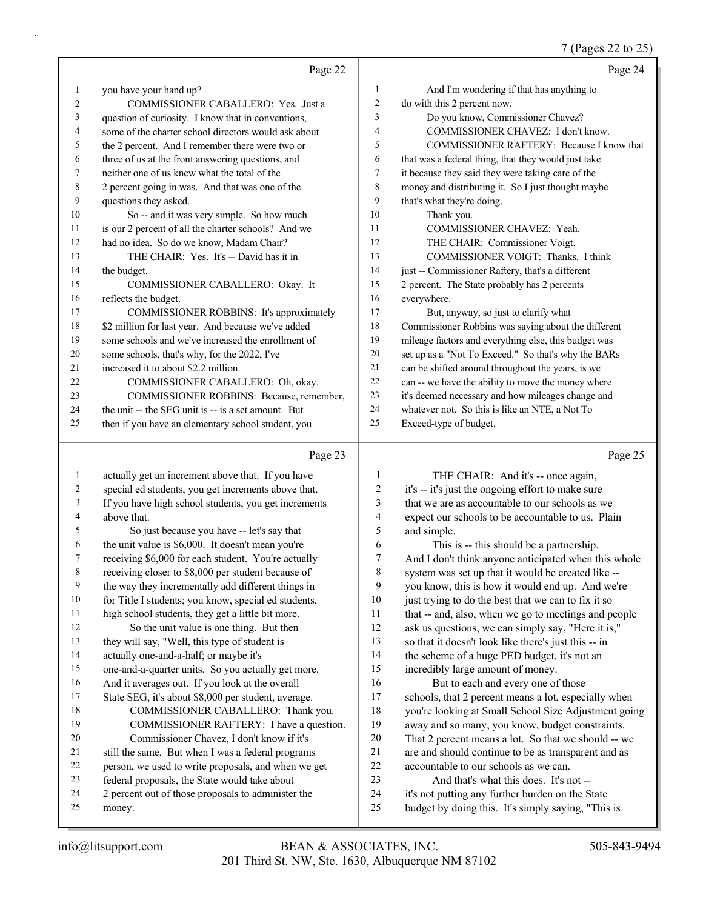#### 7 (Pages 22 to 25)

|                | Page 22                                                    |                | Page 24                                              |
|----------------|------------------------------------------------------------|----------------|------------------------------------------------------|
|                | you have your hand up?                                     | 1              | And I'm wondering if that has anything to            |
| $\overline{2}$ | COMMISSIONER CABALLERO: Yes. Just a                        | $\overline{c}$ | do with this 2 percent now.                          |
| 3              | question of curiosity. I know that in conventions,         | 3              | Do you know, Commissioner Chavez?                    |
| 4              | some of the charter school directors would ask about       | 4              | COMMISSIONER CHAVEZ: I don't know.                   |
| 5              | the 2 percent. And I remember there were two or            | 5              | COMMISSIONER RAFTERY: Because I know that            |
| 6              | three of us at the front answering questions, and          | 6              | that was a federal thing, that they would just take  |
| 7              | neither one of us knew what the total of the               | 7              | it because they said they were taking care of the    |
| 8              | 2 percent going in was. And that was one of the            | 8              | money and distributing it. So I just thought maybe   |
| 9              | questions they asked.                                      | 9              | that's what they're doing.                           |
| 10             | So -- and it was very simple. So how much                  | 10             | Thank you.                                           |
| 11             | is our 2 percent of all the charter schools? And we        | 11             | COMMISSIONER CHAVEZ: Yeah.                           |
| 12             | had no idea. So do we know, Madam Chair?                   | 12             | THE CHAIR: Commissioner Voigt.                       |
| 13             | THE CHAIR: Yes. It's -- David has it in                    | 13             | COMMISSIONER VOIGT: Thanks. I think                  |
| 14             | the budget.                                                | 14             | just -- Commissioner Raftery, that's a different     |
| 15             | COMMISSIONER CABALLERO: Okay. It                           | 15             | 2 percent. The State probably has 2 percents         |
| 16             | reflects the budget.                                       | 16             | everywhere.                                          |
| 17             | COMMISSIONER ROBBINS: It's approximately                   | 17             | But, anyway, so just to clarify what                 |
| 18             | \$2 million for last year. And because we've added         | 18             | Commissioner Robbins was saying about the different  |
| 19             | some schools and we've increased the enrollment of         | 19             | mileage factors and everything else, this budget was |
| 20             | some schools, that's why, for the 2022, I've               | 20             | set up as a "Not To Exceed." So that's why the BARs  |
| 21             | increased it to about \$2.2 million.                       | 21             | can be shifted around throughout the years, is we    |
| 22             | COMMISSIONER CABALLERO: Oh, okay.                          | 22             | can -- we have the ability to move the money where   |
| 23             | COMMISSIONER ROBBINS: Because, remember,                   | 23             | it's deemed necessary and how mileages change and    |
| 24             | the unit -- the SEG unit is -- is a set amount. But        | 24             | whatever not. So this is like an NTE, a Not To       |
| 25             | then if you have an elementary school student, you         | 25             | Exceed-type of budget.                               |
|                | Page 23                                                    |                | Page 25                                              |
|                | $\ldots$ . $\ldots$ is the second of $\ldots$ . The second |                | $TITL$ $CITATD$ $A$                                  |

 actually get an increment above that. If you have special ed students, you get increments above that. If you have high school students, you get increments above that. 5 So just because you have -- let's say that the unit value is \$6,000. It doesn't mean you're receiving \$6,000 for each student. You're actually receiving closer to \$8,000 per student because of the way they incrementally add different things in 10 for Title I students; you know, special ed students, high school students, they get a little bit more. 12 So the unit value is one thing. But then they will say, "Well, this type of student is actually one-and-a-half; or maybe it's one-and-a-quarter units. So you actually get more. And it averages out. If you look at the overall State SEG, it's about \$8,000 per student, average. 18 COMMISSIONER CABALLERO: Thank you. 19 COMMISSIONER RAFTERY: I have a question. 20 Commissioner Chavez, I don't know if it's still the same. But when I was a federal programs person, we used to write proposals, and when we get federal proposals, the State would take about 2 percent out of those proposals to administer the money. 1 THE CHAIR: And it's -- once again, it's -- it's just the ongoing effort to make sure that we are as accountable to our schools as we expect our schools to be accountable to us. Plain and simple. 6 This is -- this should be a partnership. And I don't think anyone anticipated when this whole system was set up that it would be created like -- you know, this is how it would end up. And we're 10 just trying to do the best that we can to fix it so that -- and, also, when we go to meetings and people ask us questions, we can simply say, "Here it is," so that it doesn't look like there's just this -- in the scheme of a huge PED budget, it's not an incredibly large amount of money. 16 But to each and every one of those schools, that 2 percent means a lot, especially when you're looking at Small School Size Adjustment going away and so many, you know, budget constraints. That 2 percent means a lot. So that we should -- we are and should continue to be as transparent and as accountable to our schools as we can. 23 And that's what this does. It's not -- it's not putting any further burden on the State budget by doing this. It's simply saying, "This is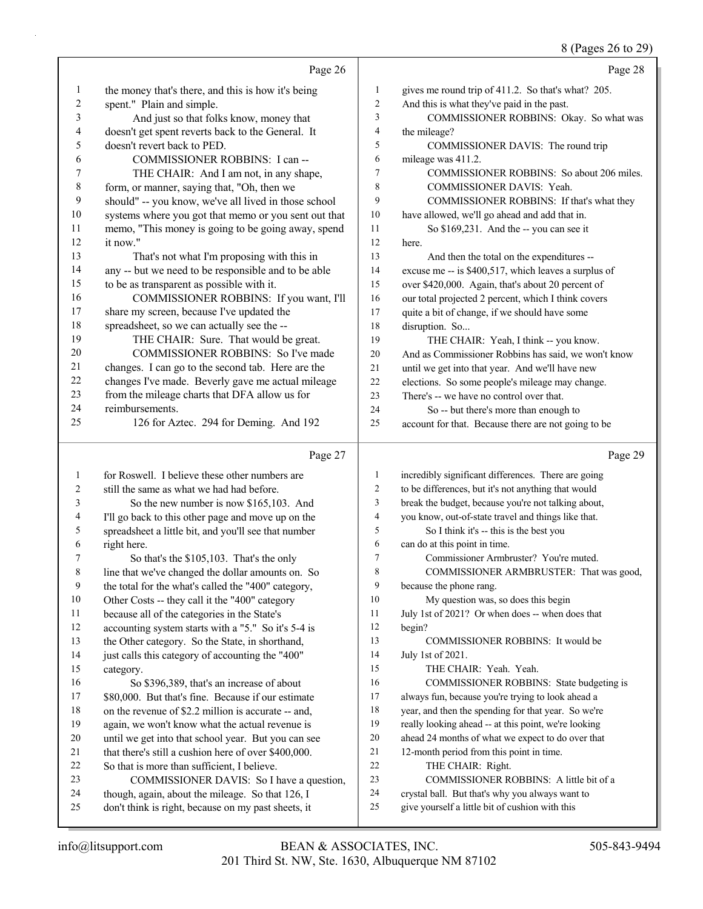#### (Pages 26 to 20)

|                  |                                                      |                | $0(1 \text{ uS} \omega \omega \omega \omega)$        |
|------------------|------------------------------------------------------|----------------|------------------------------------------------------|
|                  | Page 26                                              |                | Page 28                                              |
| $\mathbf{1}$     | the money that's there, and this is how it's being   | $\mathbf{1}$   | gives me round trip of 411.2. So that's what? 205.   |
| $\boldsymbol{2}$ | spent." Plain and simple.                            | $\sqrt{2}$     | And this is what they've paid in the past.           |
| 3                | And just so that folks know, money that              | $\overline{3}$ | COMMISSIONER ROBBINS: Okay. So what was              |
| $\overline{4}$   | doesn't get spent reverts back to the General. It    | $\overline{4}$ | the mileage?                                         |
| 5                | doesn't revert back to PED.                          | 5              | COMMISSIONER DAVIS: The round trip                   |
| 6                | COMMISSIONER ROBBINS: I can --                       | 6              | mileage was 411.2.                                   |
| 7                | THE CHAIR: And I am not, in any shape,               | $\overline{7}$ | COMMISSIONER ROBBINS: So about 206 miles.            |
| $\,$ $\,$        | form, or manner, saying that, "Oh, then we           | $\,$ 8 $\,$    | COMMISSIONER DAVIS: Yeah.                            |
| 9                | should" -- you know, we've all lived in those school | 9              | COMMISSIONER ROBBINS: If that's what they            |
| 10               | systems where you got that memo or you sent out that | 10             | have allowed, we'll go ahead and add that in.        |
| 11               | memo, "This money is going to be going away, spend   | 11             | So \$169,231. And the -- you can see it              |
| 12               | it now."                                             | 12             | here.                                                |
| 13               | That's not what I'm proposing with this in           | 13             | And then the total on the expenditures --            |
| 14               | any -- but we need to be responsible and to be able  | 14             | excuse me -- is \$400,517, which leaves a surplus of |
| 15               | to be as transparent as possible with it.            | 15             | over \$420,000. Again, that's about 20 percent of    |
| 16               | COMMISSIONER ROBBINS: If you want, I'll              | 16             | our total projected 2 percent, which I think covers  |
| 17               | share my screen, because I've updated the            | 17             | quite a bit of change, if we should have some        |
| 18               | spreadsheet, so we can actually see the --           | 18             | disruption. So                                       |
| 19               | THE CHAIR: Sure. That would be great.                | 19             | THE CHAIR: Yeah, I think -- you know.                |
| 20               | <b>COMMISSIONER ROBBINS: So I've made</b>            | 20             | And as Commissioner Robbins has said, we won't know  |
| 21               | changes. I can go to the second tab. Here are the    | 21             | until we get into that year. And we'll have new      |
| 22               | changes I've made. Beverly gave me actual mileage    | 22             | elections. So some people's mileage may change.      |
| 23               | from the mileage charts that DFA allow us for        | 23             | There's -- we have no control over that.             |
| 24               | reimbursements.                                      | 24             | So -- but there's more than enough to                |
| 25               | 126 for Aztec. 294 for Deming. And 192               | 25             | account for that. Because there are not going to be  |
|                  | Page 27                                              |                | Page 29                                              |
| $\mathbf{1}$     | for Roswell. I believe these other numbers are       | $\mathbf{1}$   | incredibly significant differences. There are going  |
| 2                | still the same as what we had had before.            | $\overline{2}$ | to be differences, but it's not anything that would  |
| 3                | So the new number is now \$165,103. And              | 3              | break the budget, because you're not talking about,  |
| 4                | I'll go back to this other page and move up on the   | $\overline{4}$ | you know, out-of-state travel and things like that.  |
| 5                | spreadsheet a little bit, and you'll see that number | 5              | So I think it's -- this is the best you              |
| 6                | right here.                                          | 6              | can do at this point in time.                        |
|                  |                                                      |                |                                                      |

- 7 So that's the \$105,103. That's the only
- line that we've changed the dollar amounts on. So
- the total for the what's called the "400" category, 10 Other Costs -- they call it the "400" category
- because all of the categories in the State's
- accounting system starts with a "5." So it's 5-4 is
- the Other category. So the State, in shorthand,
- just calls this category of accounting the "400"
- category.
- 16 So \$396,389, that's an increase of about \$80,000. But that's fine. Because if our estimate on the revenue of \$2.2 million is accurate -- and,
- again, we won't know what the actual revenue is
- until we get into that school year. But you can see
- that there's still a cushion here of over \$400,000.
- So that is more than sufficient, I believe. 23 COMMISSIONER DAVIS: So I have a question,
- though, again, about the mileage. So that 126, I
- don't think is right, because on my past sheets, it
- 7 Commissioner Armbruster? You're muted.
- 8 COMMISSIONER ARMBRUSTER: That was good,
- because the phone rang.
- 10 My question was, so does this begin
- July 1st of 2021? Or when does -- when does that
- begin?
- 13 COMMISSIONER ROBBINS: It would be July 1st of 2021.
- 15 THE CHAIR: Yeah. Yeah.
- 16 COMMISSIONER ROBBINS: State budgeting is
- always fun, because you're trying to look ahead a
- year, and then the spending for that year. So we're
- really looking ahead -- at this point, we're looking
- ahead 24 months of what we expect to do over that
- 12-month period from this point in time.
- 22 THE CHAIR: Right.
- 23 COMMISSIONER ROBBINS: A little bit of a
- crystal ball. But that's why you always want to
- give yourself a little bit of cushion with this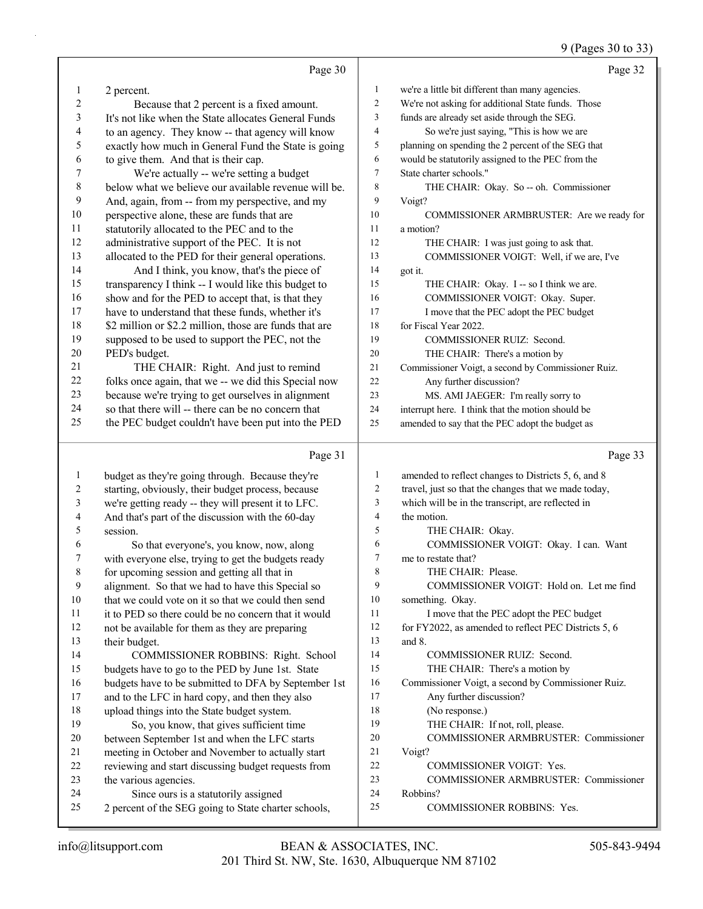## 9 (Pages 30 to 33)

|                          | Page 30                                                                                                |                          | Page 32                                              |
|--------------------------|--------------------------------------------------------------------------------------------------------|--------------------------|------------------------------------------------------|
| 1                        | 2 percent.                                                                                             | 1                        | we're a little bit different than many agencies.     |
| 2                        | Because that 2 percent is a fixed amount.                                                              | $\overline{c}$           | We're not asking for additional State funds. Those   |
| 3                        | It's not like when the State allocates General Funds                                                   | 3                        | funds are already set aside through the SEG.         |
| 4                        | to an agency. They know -- that agency will know                                                       | $\overline{\mathcal{A}}$ | So we're just saying, "This is how we are            |
| 5                        | exactly how much in General Fund the State is going                                                    | 5                        | planning on spending the 2 percent of the SEG that   |
| 6                        | to give them. And that is their cap.                                                                   | 6                        | would be statutorily assigned to the PEC from the    |
| 7                        | We're actually -- we're setting a budget                                                               | $\tau$                   | State charter schools."                              |
| $\,8\,$                  | below what we believe our available revenue will be.                                                   | 8                        | THE CHAIR: Okay. So -- oh. Commissioner              |
| 9                        | And, again, from -- from my perspective, and my                                                        | 9                        | Voigt?                                               |
| 10                       | perspective alone, these are funds that are                                                            | 10                       | COMMISSIONER ARMBRUSTER: Are we ready for            |
| 11                       | statutorily allocated to the PEC and to the                                                            | 11                       | a motion?                                            |
| 12                       | administrative support of the PEC. It is not                                                           | 12                       | THE CHAIR: I was just going to ask that.             |
| 13                       | allocated to the PED for their general operations.                                                     | 13                       | COMMISSIONER VOIGT: Well, if we are, I've            |
| 14                       | And I think, you know, that's the piece of                                                             | 14                       | got it.                                              |
| 15                       | transparency I think -- I would like this budget to                                                    | 15                       | THE CHAIR: Okay. I -- so I think we are.             |
| 16                       | show and for the PED to accept that, is that they                                                      | 16                       | COMMISSIONER VOIGT: Okay. Super.                     |
| 17                       | have to understand that these funds, whether it's                                                      | 17                       | I move that the PEC adopt the PEC budget             |
| 18                       | \$2 million or \$2.2 million, those are funds that are                                                 | 18                       | for Fiscal Year 2022.                                |
| 19                       | supposed to be used to support the PEC, not the                                                        | 19                       | <b>COMMISSIONER RUIZ: Second.</b>                    |
| $20\,$                   | PED's budget.                                                                                          | 20                       | THE CHAIR: There's a motion by                       |
| 21                       | THE CHAIR: Right. And just to remind                                                                   | 21                       | Commissioner Voigt, a second by Commissioner Ruiz.   |
| $22\,$                   | folks once again, that we -- we did this Special now                                                   | 22                       | Any further discussion?                              |
| 23                       | because we're trying to get ourselves in alignment                                                     | 23                       | MS. AMI JAEGER: I'm really sorry to                  |
| 24                       | so that there will -- there can be no concern that                                                     | 24                       | interrupt here. I think that the motion should be    |
| 25                       | the PEC budget couldn't have been put into the PED                                                     | 25                       | amended to say that the PEC adopt the budget as      |
|                          |                                                                                                        |                          |                                                      |
|                          | Page 31                                                                                                |                          | Page 33                                              |
| $\mathbf{1}$             |                                                                                                        | 1                        | amended to reflect changes to Districts 5, 6, and 8  |
| $\overline{c}$           | budget as they're going through. Because they're<br>starting, obviously, their budget process, because | $\overline{c}$           | travel, just so that the changes that we made today, |
| 3                        | we're getting ready -- they will present it to LFC.                                                    | $\mathfrak{Z}$           | which will be in the transcript, are reflected in    |
| $\overline{\mathcal{A}}$ | And that's part of the discussion with the 60-day                                                      | $\overline{4}$           | the motion.                                          |
| 5                        | session.                                                                                               | 5                        | THE CHAIR: Okay.                                     |
| 6                        | So that everyone's, you know, now, along                                                               | 6                        | COMMISSIONER VOIGT: Okay. I can. Want                |
| 7                        | with everyone else, trying to get the budgets ready                                                    | 7                        | me to restate that?                                  |
| 8                        | for upcoming session and getting all that in                                                           | 8                        | THE CHAIR: Please.                                   |
| 9                        | alignment. So that we had to have this Special so                                                      | 9                        | COMMISSIONER VOIGT: Hold on. Let me find             |
| 10                       | that we could vote on it so that we could then send                                                    | 10                       | something. Okay.                                     |
| 11                       | it to PED so there could be no concern that it would                                                   | 11                       | I move that the PEC adopt the PEC budget             |
| 12                       | not be available for them as they are preparing                                                        | 12                       | for FY2022, as amended to reflect PEC Districts 5, 6 |
| 13                       | their budget.                                                                                          | 13                       | and 8.                                               |
| 14                       | COMMISSIONER ROBBINS: Right. School                                                                    | 14                       | COMMISSIONER RUIZ: Second.                           |
| 15                       | budgets have to go to the PED by June 1st. State                                                       | 15                       | THE CHAIR: There's a motion by                       |
| 16                       | budgets have to be submitted to DFA by September 1st                                                   | 16                       | Commissioner Voigt, a second by Commissioner Ruiz.   |
| 17                       | and to the LFC in hard copy, and then they also                                                        | 17                       | Any further discussion?                              |
| 18                       | upload things into the State budget system.                                                            | 18                       | (No response.)                                       |
| 19                       | So, you know, that gives sufficient time                                                               | 19                       | THE CHAIR: If not, roll, please.                     |
| 20                       | between September 1st and when the LFC starts                                                          | 20                       | COMMISSIONER ARMBRUSTER: Commissioner                |
| 21                       | meeting in October and November to actually start                                                      | 21                       | Voigt?                                               |
| 22                       | reviewing and start discussing budget requests from                                                    | 22                       | COMMISSIONER VOIGT: Yes.                             |
| 23                       | the various agencies.                                                                                  | 23<br>24                 | COMMISSIONER ARMBRUSTER: Commissioner                |
| 24<br>25                 | Since ours is a statutorily assigned<br>2 percent of the SEG going to State charter schools,           | 25                       | Robbins?<br>COMMISSIONER ROBBINS: Yes.               |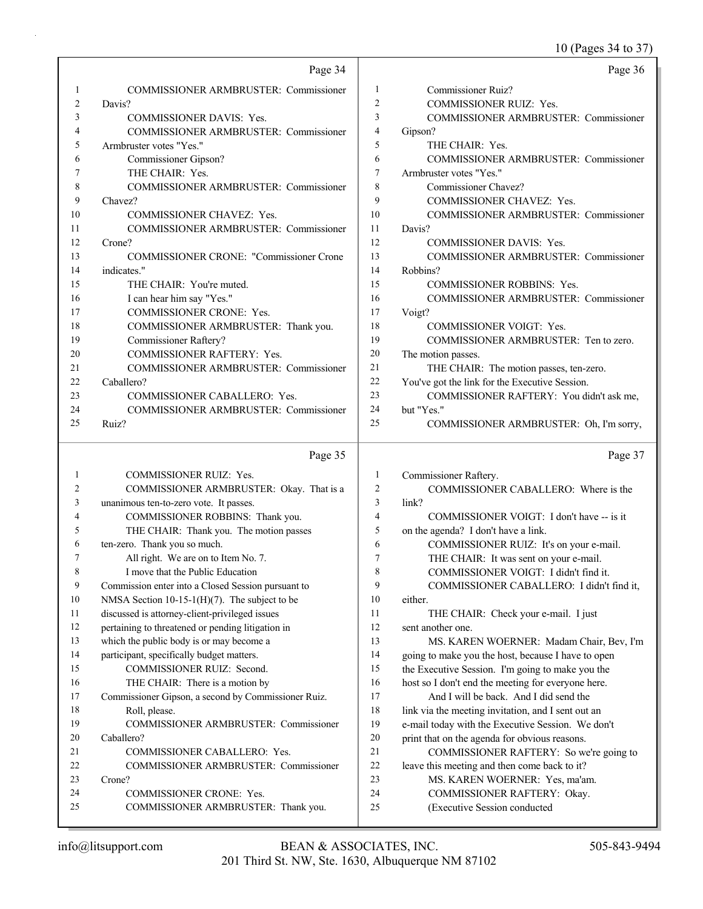## 10 (Pages 34 to 37)

|          | Page 34                                             |                | Page 36                                                                        |
|----------|-----------------------------------------------------|----------------|--------------------------------------------------------------------------------|
| 1        | <b>COMMISSIONER ARMBRUSTER: Commissioner</b>        | 1              | <b>Commissioner Ruiz?</b>                                                      |
| 2        | Davis?                                              | $\overline{c}$ | COMMISSIONER RUIZ: Yes.                                                        |
| 3        | COMMISSIONER DAVIS: Yes.                            | 3              | COMMISSIONER ARMBRUSTER: Commissioner                                          |
| 4        | COMMISSIONER ARMBRUSTER: Commissioner               | 4              | Gipson?                                                                        |
| 5        | Armbruster votes "Yes."                             | 5              | THE CHAIR: Yes.                                                                |
| 6        | Commissioner Gipson?                                | 6              | <b>COMMISSIONER ARMBRUSTER: Commissioner</b>                                   |
| 7        | THE CHAIR: Yes.                                     | $\overline{7}$ | Armbruster votes "Yes."                                                        |
| 8        | <b>COMMISSIONER ARMBRUSTER: Commissioner</b>        | 8              | Commissioner Chavez?                                                           |
| 9        | Chavez?                                             | 9              | COMMISSIONER CHAVEZ: Yes.                                                      |
| 10       | COMMISSIONER CHAVEZ: Yes.                           | 10             | COMMISSIONER ARMBRUSTER: Commissioner                                          |
| 11       | COMMISSIONER ARMBRUSTER: Commissioner               | 11             | Davis?                                                                         |
| 12       | Crone?                                              | 12             | <b>COMMISSIONER DAVIS: Yes.</b>                                                |
| 13       | <b>COMMISSIONER CRONE: "Commissioner Crone</b>      | 13             | COMMISSIONER ARMBRUSTER: Commissioner                                          |
| 14       | indicates."                                         | 14             | Robbins?                                                                       |
| 15       | THE CHAIR: You're muted.                            | 15             | <b>COMMISSIONER ROBBINS: Yes.</b>                                              |
| 16       | I can hear him say "Yes."                           | 16             | COMMISSIONER ARMBRUSTER: Commissioner                                          |
| 17       | COMMISSIONER CRONE: Yes.                            | 17             | Voigt?                                                                         |
| 18       | COMMISSIONER ARMBRUSTER: Thank you.                 | 18             | <b>COMMISSIONER VOIGT: Yes.</b>                                                |
| 19       | <b>Commissioner Raftery?</b>                        | 19             | COMMISSIONER ARMBRUSTER: Ten to zero.                                          |
| 20       | COMMISSIONER RAFTERY: Yes.                          | 20             | The motion passes.                                                             |
| 21       | <b>COMMISSIONER ARMBRUSTER: Commissioner</b>        | 21             | THE CHAIR: The motion passes, ten-zero.                                        |
| 22       | Caballero?                                          | 22             | You've got the link for the Executive Session.                                 |
| 23       | COMMISSIONER CABALLERO: Yes.                        | 23             | COMMISSIONER RAFTERY: You didn't ask me,                                       |
| 24       | COMMISSIONER ARMBRUSTER: Commissioner               | 24             | but "Yes."                                                                     |
| 25       | Ruiz?                                               | 25             | COMMISSIONER ARMBRUSTER: Oh, I'm sorry,                                        |
|          |                                                     |                |                                                                                |
|          | Page 35                                             |                | Page 37                                                                        |
| 1        | COMMISSIONER RUIZ: Yes.                             | $\mathbf{1}$   | Commissioner Raftery.                                                          |
| 2        | COMMISSIONER ARMBRUSTER: Okay. That is a            | $\sqrt{2}$     | COMMISSIONER CABALLERO: Where is the                                           |
| 3        | unanimous ten-to-zero vote. It passes.              | 3              | link?                                                                          |
| 4        | COMMISSIONER ROBBINS: Thank you.                    | $\overline{4}$ | COMMISSIONER VOIGT: I don't have -- is it                                      |
| 5        | THE CHAIR: Thank you. The motion passes             | 5              | on the agenda? I don't have a link.                                            |
| 6        | ten-zero. Thank you so much.                        | 6              | COMMISSIONER RUIZ: It's on your e-mail.                                        |
| 7        | All right. We are on to Item No. 7.                 | 7              | THE CHAIR: It was sent on your e-mail.                                         |
| 8        | I move that the Public Education                    | 8              | COMMISSIONER VOIGT: I didn't find it.                                          |
| 9        | Commission enter into a Closed Session pursuant to  | 9              | COMMISSIONER CABALLERO: I didn't find it,                                      |
| 10       | NMSA Section $10-15-1(H)(7)$ . The subject to be    | 10             | either.                                                                        |
| 11       | discussed is attorney-client-privileged issues      | 11             | THE CHAIR: Check your e-mail. I just                                           |
| 12       | pertaining to threatened or pending litigation in   | 12             | sent another one.                                                              |
| 13       | which the public body is or may become a            | 13             | MS. KAREN WOERNER: Madam Chair, Bev, I'm                                       |
| 14       | participant, specifically budget matters.           | 14             | going to make you the host, because I have to open                             |
| 15       | COMMISSIONER RUIZ: Second.                          | 15             | the Executive Session. I'm going to make you the                               |
| 16       | THE CHAIR: There is a motion by                     | 16             | host so I don't end the meeting for everyone here.                             |
| 17       | Commissioner Gipson, a second by Commissioner Ruiz. | 17             | And I will be back. And I did send the                                         |
| 18       | Roll, please.                                       | 18             | link via the meeting invitation, and I sent out an                             |
| 19       | COMMISSIONER ARMBRUSTER: Commissioner               | 19             | e-mail today with the Executive Session. We don't                              |
| 20       |                                                     |                |                                                                                |
|          | Caballero?                                          | 20             | print that on the agenda for obvious reasons.                                  |
| 21       | COMMISSIONER CABALLERO: Yes.                        | 21             | COMMISSIONER RAFTERY: So we're going to                                        |
| 22<br>23 | COMMISSIONER ARMBRUSTER: Commissioner<br>Crone?     | $22\,$<br>23   | leave this meeting and then come back to it?<br>MS. KAREN WOERNER: Yes, ma'am. |

24 COMMISSIONER CRONE: Yes. 24 COMMISSIONER RAFTERY: Okay.

25 (Executive Session conducted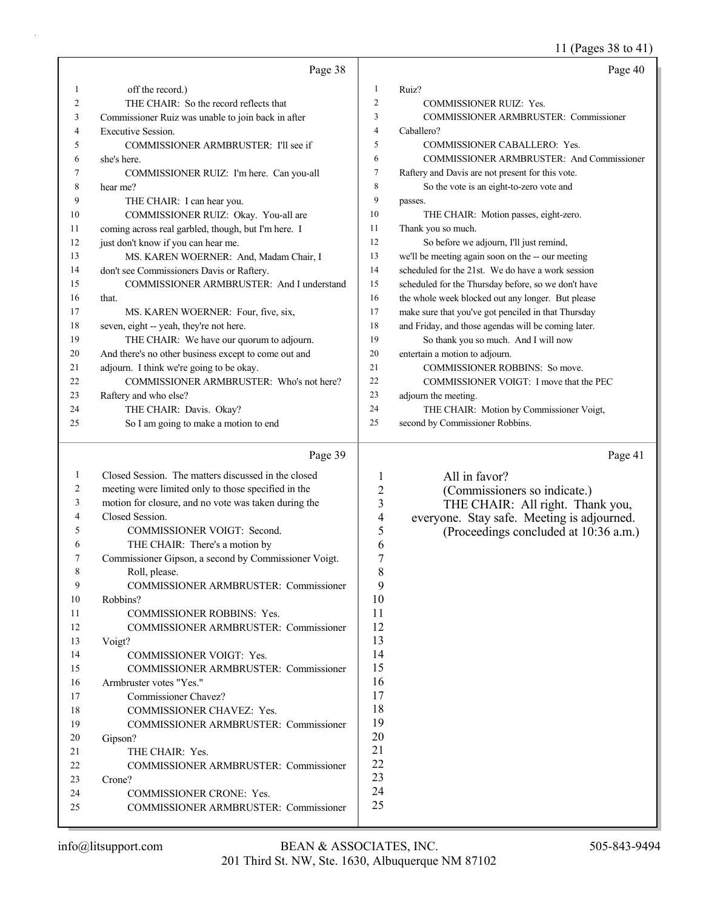11 (Pages 38 to 41)

|                | Page 38                                                           |                          | Page 40                                             |
|----------------|-------------------------------------------------------------------|--------------------------|-----------------------------------------------------|
| 1              | off the record.)                                                  | 1                        | Ruiz?                                               |
| $\overline{2}$ | THE CHAIR: So the record reflects that                            | $\overline{2}$           | COMMISSIONER RUIZ: Yes.                             |
| 3              | Commissioner Ruiz was unable to join back in after                | 3                        | <b>COMMISSIONER ARMBRUSTER: Commissioner</b>        |
| 4              | <b>Executive Session.</b>                                         | $\overline{4}$           | Caballero?                                          |
| 5              | COMMISSIONER ARMBRUSTER: I'll see if                              | 5                        | COMMISSIONER CABALLERO: Yes.                        |
| 6              | she's here.                                                       | 6                        | COMMISSIONER ARMBRUSTER: And Commissioner           |
| 7              | COMMISSIONER RUIZ: I'm here. Can you-all                          | $\tau$                   | Raftery and Davis are not present for this vote.    |
| 8              | hear me?                                                          | 8                        | So the vote is an eight-to-zero vote and            |
| 9              | THE CHAIR: I can hear you.                                        | 9                        | passes.                                             |
| 10             | COMMISSIONER RUIZ: Okay. You-all are                              | 10                       | THE CHAIR: Motion passes, eight-zero.               |
| 11             | coming across real garbled, though, but I'm here. I               | 11                       | Thank you so much.                                  |
| 12             | just don't know if you can hear me.                               | 12                       | So before we adjourn, I'll just remind,             |
| 13             | MS. KAREN WOERNER: And, Madam Chair, I                            | 13                       | we'll be meeting again soon on the -- our meeting   |
| 14             | don't see Commissioners Davis or Raftery.                         | 14                       | scheduled for the 21st. We do have a work session   |
| 15             | COMMISSIONER ARMBRUSTER: And I understand                         | 15                       | scheduled for the Thursday before, so we don't have |
| 16             | that.                                                             | 16                       | the whole week blocked out any longer. But please   |
| 17             | MS. KAREN WOERNER: Four, five, six,                               | 17                       | make sure that you've got penciled in that Thursday |
| 18             | seven, eight -- yeah, they're not here.                           | 18                       | and Friday, and those agendas will be coming later. |
| 19             | THE CHAIR: We have our quorum to adjourn.                         | 19                       | So thank you so much. And I will now                |
| 20             | And there's no other business except to come out and              | 20                       | entertain a motion to adjourn.                      |
| 21             | adjourn. I think we're going to be okay.                          | 21                       | COMMISSIONER ROBBINS: So move.                      |
| 22             | COMMISSIONER ARMBRUSTER: Who's not here?                          | 22                       | COMMISSIONER VOIGT: I move that the PEC             |
| 23             | Raftery and who else?                                             | 23                       | adjourn the meeting.                                |
| 24             | THE CHAIR: Davis. Okay?                                           | 24                       | THE CHAIR: Motion by Commissioner Voigt,            |
| 25             | So I am going to make a motion to end                             | 25                       | second by Commissioner Robbins.                     |
|                | Page 39                                                           |                          | Page 41                                             |
| 1              | Closed Session. The matters discussed in the closed               | $\mathbf{1}$             | All in favor?                                       |
| 2              | meeting were limited only to those specified in the               | $\overline{c}$           | (Commissioners so indicate.)                        |
| 3              | motion for closure, and no vote was taken during the              | 3                        | THE CHAIR: All right. Thank you,                    |
| 4              | Closed Session.                                                   | $\overline{\mathcal{A}}$ | everyone. Stay safe. Meeting is adjourned.          |
| 5              | COMMISSIONER VOIGT: Second.                                       | 5                        | (Proceedings concluded at 10:36 a.m.)               |
| 6              | THE CHAIR: There's a motion by                                    | 6                        |                                                     |
| 7              | Commissioner Gipson, a second by Commissioner Voigt.              | 7                        |                                                     |
| 8              | Roll, please.                                                     | 8                        |                                                     |
| 9              | COMMISSIONER ARMBRUSTER: Commissioner                             | 9                        |                                                     |
| 10             | Robbins?                                                          | 10                       |                                                     |
| 11             | <b>COMMISSIONER ROBBINS: Yes.</b>                                 | 11                       |                                                     |
| 12             | <b>COMMISSIONER ARMBRUSTER: Commissioner</b>                      | 12                       |                                                     |
| 13             | Voigt?                                                            | 13                       |                                                     |
| 14             | COMMISSIONER VOIGT: Yes.                                          | 14                       |                                                     |
| 15             | <b>COMMISSIONER ARMBRUSTER: Commissioner</b>                      | 15                       |                                                     |
| 16             | Armbruster votes "Yes."                                           | 16                       |                                                     |
| 17             | Commissioner Chavez?                                              | 17                       |                                                     |
| 18             | COMMISSIONER CHAVEZ: Yes.                                         | 18                       |                                                     |
| 19             | <b>COMMISSIONER ARMBRUSTER: Commissioner</b>                      | 19                       |                                                     |
| 20             | Gipson?                                                           | 20<br>21                 |                                                     |
| 21             | THE CHAIR: Yes.                                                   | 22                       |                                                     |
| 22             | <b>COMMISSIONER ARMBRUSTER: Commissioner</b>                      | 23                       |                                                     |
| 23             | Crone?                                                            | 24                       |                                                     |
| 24<br>25       | COMMISSIONER CRONE: Yes.<br>COMMISSIONER ARMBRUSTER: Commissioner | 25                       |                                                     |
|                |                                                                   |                          |                                                     |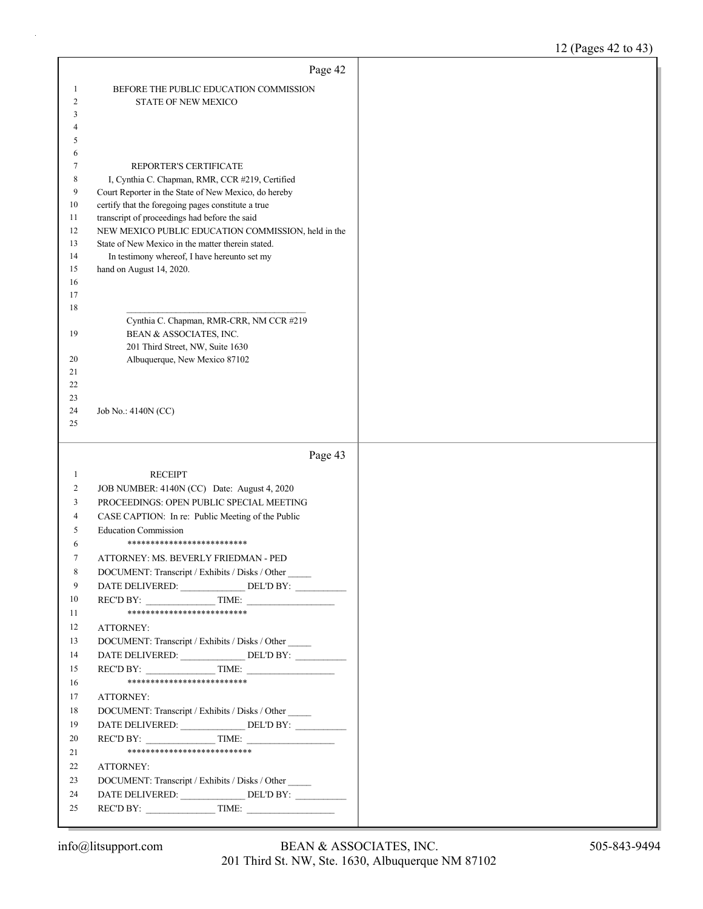|                | Page 42                                                                                             |  |
|----------------|-----------------------------------------------------------------------------------------------------|--|
| 1              | BEFORE THE PUBLIC EDUCATION COMMISSION                                                              |  |
| $\overline{2}$ | <b>STATE OF NEW MEXICO</b>                                                                          |  |
| 3              |                                                                                                     |  |
| 4              |                                                                                                     |  |
| 5              |                                                                                                     |  |
| 6              |                                                                                                     |  |
| 7              | REPORTER'S CERTIFICATE                                                                              |  |
| 8              | I, Cynthia C. Chapman, RMR, CCR #219, Certified                                                     |  |
| 9              | Court Reporter in the State of New Mexico, do hereby                                                |  |
| 10<br>11       | certify that the foregoing pages constitute a true<br>transcript of proceedings had before the said |  |
| 12             | NEW MEXICO PUBLIC EDUCATION COMMISSION, held in the                                                 |  |
| 13             | State of New Mexico in the matter therein stated.                                                   |  |
| 14             | In testimony whereof, I have hereunto set my                                                        |  |
| 15             | hand on August 14, 2020.                                                                            |  |
| 16             |                                                                                                     |  |
| 17             |                                                                                                     |  |
| 18             |                                                                                                     |  |
| 19             | Cynthia C. Chapman, RMR-CRR, NM CCR #219                                                            |  |
|                | BEAN & ASSOCIATES, INC.<br>201 Third Street, NW, Suite 1630                                         |  |
| 20             | Albuquerque, New Mexico 87102                                                                       |  |
| 21             |                                                                                                     |  |
| 22             |                                                                                                     |  |
| 23             |                                                                                                     |  |
| 24             | Job No.: 4140N (CC)                                                                                 |  |
| 25             |                                                                                                     |  |
|                |                                                                                                     |  |
|                |                                                                                                     |  |
|                | Page 43                                                                                             |  |
| 1              | <b>RECEIPT</b>                                                                                      |  |
| 2              | JOB NUMBER: 4140N (CC) Date: August 4, 2020                                                         |  |
| 3              | PROCEEDINGS: OPEN PUBLIC SPECIAL MEETING                                                            |  |
| 4              | CASE CAPTION: In re: Public Meeting of the Public                                                   |  |
| 5              | <b>Education Commission</b>                                                                         |  |
| 6              | **************************                                                                          |  |
| 7              | ATTORNEY: MS. BEVERLY FRIEDMAN - PED                                                                |  |
| 8              | DOCUMENT: Transcript / Exhibits / Disks / Other                                                     |  |
| 9<br>10        | DATE DELIVERED: _________________ DEL'D BY: __________                                              |  |
| 11             | REC'D BY: TIME:<br>**************************                                                       |  |
| 12             | ATTORNEY:                                                                                           |  |
| 13             | DOCUMENT: Transcript / Exhibits / Disks / Other                                                     |  |
| 14             | DATE DELIVERED: DEL'D BY:                                                                           |  |
| 15             | $\text{RECD BY:}\n\qquad \qquad \text{TIME:}\n\qquad \qquad$                                        |  |
| 16             | ***************************                                                                         |  |
| 17             | ATTORNEY:                                                                                           |  |
| 18             | DOCUMENT: Transcript / Exhibits / Disks / Other                                                     |  |
| 19             | DATE DELIVERED: ______________DEL'D BY: __________                                                  |  |
| 20             | REC'D BY: TIME:                                                                                     |  |
| 21             | ****************************                                                                        |  |
| 22             | ATTORNEY:                                                                                           |  |
| 23             | DOCUMENT: Transcript / Exhibits / Disks / Other                                                     |  |
| 24<br>25       | DATE DELIVERED: _______________DEL'D BY: ____________                                               |  |